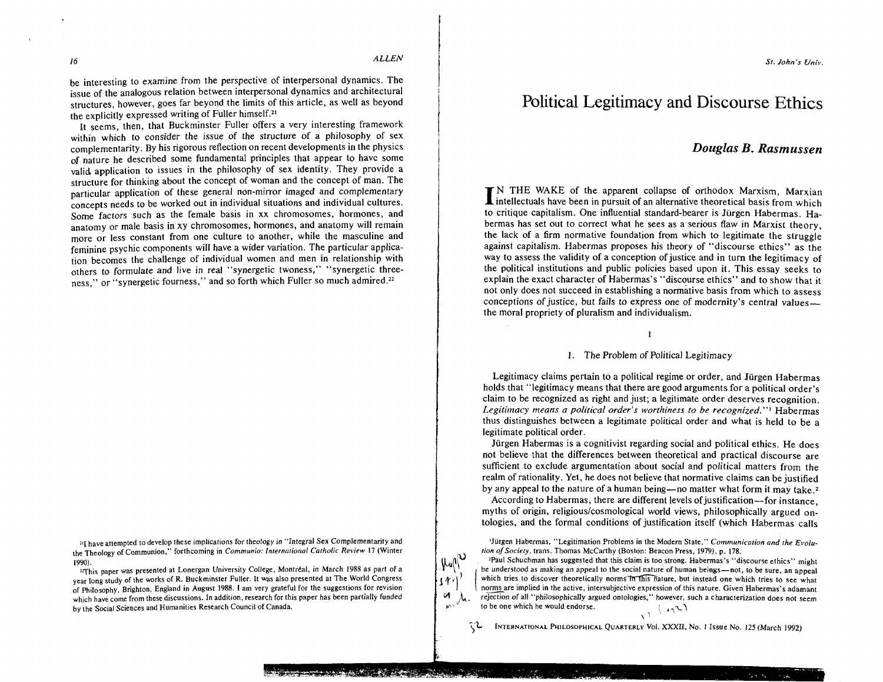$\mu_{\text{eff}}$  $1<sup>1</sup>$ 

be interesting to examine from the perspective of interpersonal dynamics. The issue of the analogous relation between interpersonal dynamics and architectural structures, however, goes far beyond the limits of this article, as well as beyond the explicitly expressed writing of Fuller himself.21

It seems, then, that Buckminster Fuller offers a very interesting framework within which to consider the issue of the structure of a philosophy of sex complementarity. By his rigorous reflection on recent developments in the physics of nature he described some fundamental principles that appear to have some valid application to issues in the philosophy of sex identity. They provide a structure for thinking about the concept of woman and the concept of man. The particular application of these general non-mirror imaged and complementary concepts needs to be worked out in individual situations and individual cultures. Some factors such as the female basis in xx chromosomes, hormones, and anatomy or male basis in xy chromosomes, hormones, and anatomy will remain more or less constant from one culture to another, while the masculine and feminine psychic components will have a wider variation. The particular application becomes the challenge of individual women and men in relationship with others to formulate and live in real "synergetic twoness," "synergetic threeness," or "synergetic fourness," and so forth which Fuller so much admired.<sup>22</sup>

<sup>11</sup>] have attempted to develop these implications for theology in "Integral Sex Complementarity and the Theology of Communion," forthcoming in *Communio: Internoliono1 Catholic Review* 17 (Winter 1990).

 $n$ This paper was presented at Lonergan University College, Montréal, in March 1988 as part of a year long study of the works of R. Buckminster Fuller. It was also presented at The World Congress of Philosophy, Brighton, England in August 1988. 1 am very grateful for the suggestions for revision which have come from these discussions. In addition, research for this paper has been partially funded by the Social Sciences and Humanities Research Council of Canada.

# Political Legitimacy and Discourse Ethics

# *Douglas B. Rasmussen*

**State County** 

**I** N THE WAKE of the apparent collapse of orthodox Marxism, Marxian  $\blacksquare$  intellectuals have been in pursuit of an alternative theoretical basis from which to critique capitalism. One influential standard-bearer is Jurgen Habermas. Habermas has set out to correct what he sees as a serious flaw in Marxist theory, the lack of a firm normative foundation from which to legitimate the struggle against capitalism. Habermas proposes his theory of "discourse ethics" as the way to assess the validity of a conception of justice and in turn the legitimacy of the political institutions and public policies based upon it. This essay seeks to explain the exact character of Habermas's "discourse ethics" and to show that it not only does not succeed in establishing a normative basis from which to assess conceptions of justice, but fails to express one of modernity's central values the moral propriety of pluralism and individualism.

 $\mathbf{I}$ 

#### 1. The Problem of Political Legitimacy

Legitimacy claims pertain to a political regime or order, and Jiirgen Habermas holds that "legitimacy means that there are good arguments for a political order's claim to be recognized as right and just; a legitimate order deserves recognition. *Legitimacy means a political order's worthiness to be recognized.* "I Habermas thus distinguishes between a legitimate political order and what is held to be a legitimate political order.

Jürgen Habermas is a cognitivist regarding social and political ethics. He does not believe that the differences between theoretical and practical discourse are sufficient to exclude argumentation about social and political matters from the realm of rationality. Yet, he does not believe that normative claims can be justified by any appeal to the nature of a human being—no matter what form it may take.<sup>2</sup>

According to Habermas, there are different levels of justification-for instance, myths of origin, religious/cosmological world views, philosophically argued ontologies, and the formal conditions of justification itself (which Habermas calls

'Jiirgen Habermas, "Legitimation Problems in the Modem Slate," *Comrnunicalion and the E~olution* of *Society,* trans. Thomas McCarthy (Boston: Beacon Press, 1979). p. 178.

1Paul Schuchman has suggested that this claim is too strong. Habermas's "discourse ethics" might be understood as making an appeal to the social nature of human beings-not, to be sure, an appeal which tries to discover theoretically norms in this nature, but instead one which tries to see what norms are implied in the active, intersubjective expression of this nature. Given Habermas's adamant  $\mathcal{A}$ . rejection of all "philosophically argued ontologies," however, such a characterization does not seem to be one which he would endorse.  $\sqrt{2}$ 

 $, 0$ **)L** INTERNATIONAL PHILOSOPHICAL QUARTERLY Vo1. XXXII, No. I Issue No. 125 (March 1992)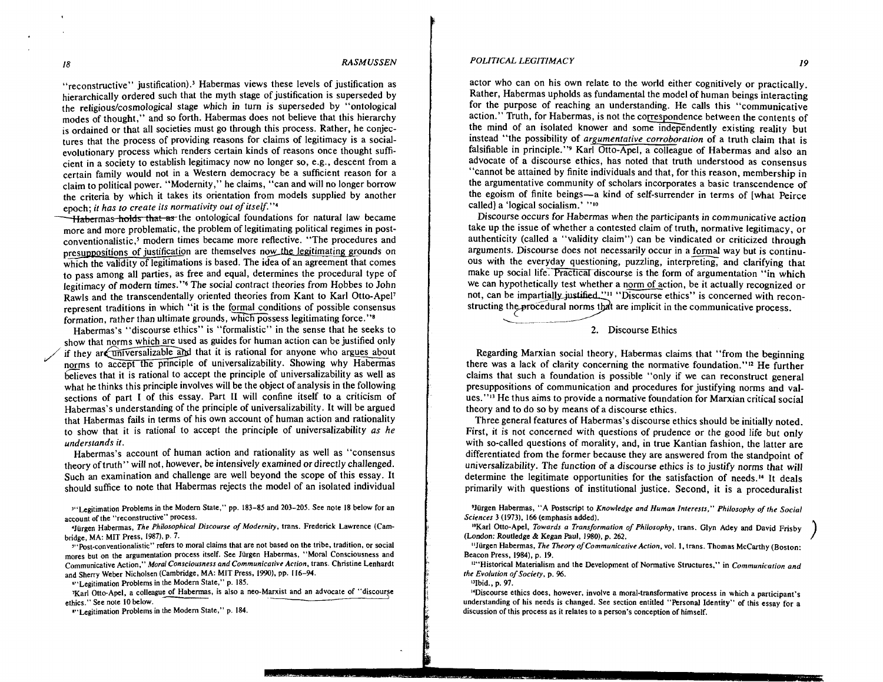"reconstructive" justification).<sup>3</sup> Habermas views these levels of justification as hierarchically ordered such that the myth stage of justification is superseded by the religious/cosmological stage which in turn is superseded by "ontological modes of thought," and so forth. Habermas does not believe that this hierarchy is ordained or that all societies must go through this process. Rather, he conjectures that the process of providing reasons for claims of legitimacy is a socialevolutionary process which renders certain kinds of reasons once thought sufficient in a society to establish legitimacy now no longer so, e.g., descent from a certain family would not in a Western democracy be a sufficient reason for a claim to political power. "Modernity," he claims, "can and will no longer borrow the criteria by which it takes its orientation from models supplied by another epoch; *it has to create its normativity out of itself."4* 

Habermas holds that as the ontological foundations for natural law became more and more problematic, the problem of legitimating political regimes in postconventionalistic.<sup>5</sup> modern times became more reflective. "The procedures and presuppositions of justification are themselves now the legitimating grounds on which the validity of legitimations is based. The idea of an agreement that comes to pass among all parties, as free and equal, determines the procedural type of legitimacy of modern times."<sup>6</sup> The social contract theories from Hobbes to John Rawls and the transcendentally oriented theories from Kant to Karl Otto-Apel<sup>7</sup> represent traditions in which "it is the formal conditions of possible consensus formation, rather than ultimate grounds, which possess legitimating force." $s$ 

Habermas's "discourse ethics" is "formalistic" in the sense that he seeks to show that norms which are used as guides for human action can be justified only if they are universalizable and that it is rational for anyone who argues about norms to accept the principle of universalizability. Showing why Habermas believes that it is rational to accept the principle of universalizability as well as what he thinks this principle involves will be the object of analysis in the following sections of part I of this essay. Part **I1** will confine itself to a criticism of Habermas's understanding of the principle of universalizability. It will be argued that Habermas fails in terms of his own account of human action and rationality to show that it is rational to accept the principle of universalizability *as he understands it.* 

Habermas's account of human action and rationality as well as "consensus theory of truth" will not, however, be intensively examined or directly challenged. Such an examination and challenge are well beyond the scope of this essay. It should suffice to note that Habermas rejects the model of an isolated individual

<sup>311</sup> Legitimation Problems in the Modern State," pp. 183-85 and 203-205. See note 18 below for an **account of the "reconstructive" Process.** 

**4Jurgen Habermas,** *The Philoso~hical Discourse of Modernity,* **trans. Frederick Lawrence (Cambridge, MA: MIT Press, 19871, P. 7.** 

**~c~post-conventionalistic" refers to moral claims that are not based on the tribe, tradition, or social mores but on the argumentation process itself. See liirgen Habermas, "Moral Consciousness and Communicative Action."** *Moral Consciousness and Communicarive Acrion,* **trans. Christine Lenhardt and Sherry Weber Nicholsen (Cambridge, MA: MIT Press, 1990). pp. 116-94.** 

<sup>61</sup>'Legitimation Problems in the Modern State," p. 185.

**'Karl Otto-Apel, a colleague of Habermas, is also a neo-Marxist and an advocate of "discourse ethics." See note 10 below.** 

<sup>8"</sup>Legitimation Problems in the Modern State," p. 184.

#### *POLITICAL LEGITIMACY* **19**

actor who can on his own relate to the world either cognitively or practically. Rather, Habermas upholds as fundamental the model of human beings interacting for the purpose of reaching an understanding. He calls this "communicative action." Truth, for Habermas, is not the correspondence between the contents of the mind of an isolated knower and some independently existing reality but instead "the possibility of *argumentative corroboration* of a truth claim that is falsifiable in principle."<sup>9</sup> Karl Otto-Apel, a colleague of Habermas and also an advocate of a discourse ethics, has noted that truth understood as consensus "cannot be attained by finite individuals and that, for this reason, membership in the argumentative community of scholars incorporates a basic transcendence of the egoism of finite beings-a kind of self-surrender in terms of [what Peirce called] a 'logical socialism.' "lo

Discourse occurs for Habermas when the participants in communicative action take up the issue of whether a contested claim of truth, normative legitimacy, or authenticity (called a "validity claim") can be vindicated or criticized through arguments. Discourse does not necessarily occur in a formal way but is continuous with the everyday questioning, puzzling, interpreting, and clarifying that make up social life. Practical discourse is the form of argumentation "in which we can hypothetically test whether a norm of action, be it actually recognized or not, can be impartially justified."<sup>11</sup> "Discourse ethics" is concerned with reconstructing the procedural norms that are implicit in the communicative process.  $\frac{c}{\sqrt{c}}$ 

#### 2. Discourse Ethics

Regarding Marxian social theory, Habermas claims that "from the beginning there was a lack of clarity concerning the normative foundation."12 He further claims that such a foundation is possible "only if we can reconstruct general presuppositions of communication and procedures for justifying norms and values."13 He thus aims to provide a normative foundation for Marxian critical social theory and to do so by means of a discourse ethics.

Three general features of Habermas's discourse ethics should be initially noted. First, it is not concerned with questions of prudence or the good life but only with so-called questions of morality, and, in true Kantian fashion, the latter are differentiated from the former because they are answered from the standpoint of universalizability. The function of a discourse ethics is to justify norms that will determine the legitimate opportunities for the satisfaction of needs.14 It deals primarily with questions of institutional justice. Second, it is a proceduralist

**SJilrgen Habermas, "A Postscript to** *Knowledge and Human Inreresrs," Philosophy of the Social Sciences* **3 (1973). 166 (emphasis added).** 

**loKarl Otto-Apel,** *Towards a Transformarion of Philosophy,* **trans. Glyn Adey and David Frisby (London: Routledge** & **Kegan Paul, 1980). p. 262.** 

**"lurgen Habermas,** *The Theory of Communicarive Action.* **vol. I, trans. Thomas McCarthy (Boston: Beacon Press, 1984). p. 19.** 

**ll"Historical Materialism and the Development of Normative Structures." in** *Communicarion and rhe Evolurion of Society,* **p. 96.** 

**"Ibid., p. 97.** 

**"Discourse ethics does, however, involve a moral-transformative process in which a participant's understanding of his needs is changed. See section entitled "Personal Identity" of this essay for a discussion of this process as it relates to a person's conception of himself.**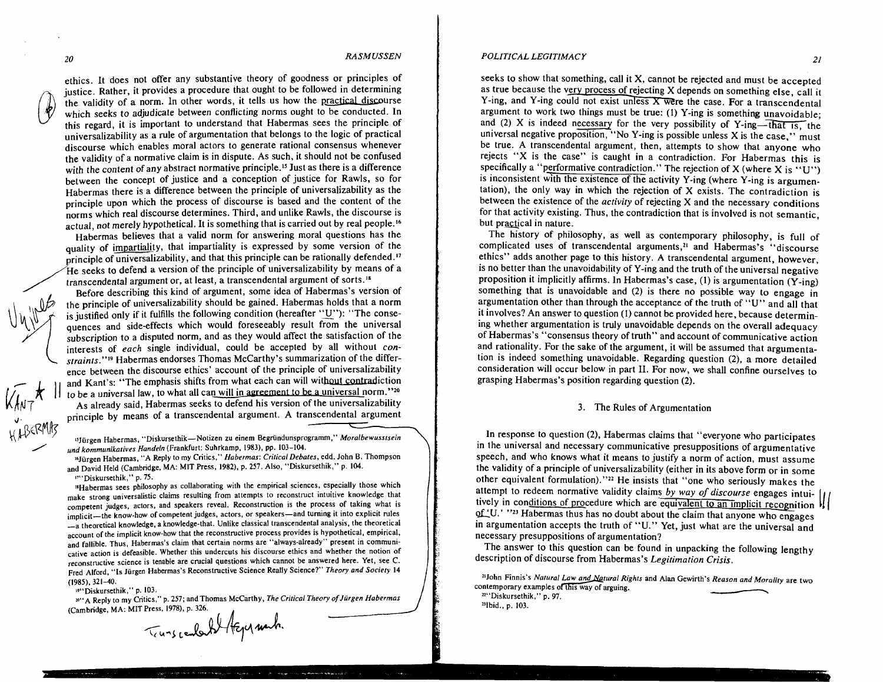u LBEKTVIS

# *20 RASMUSSEN*

ethics. It does not offer any substantive theory of goodness or principles of justice. Rather, it provides a procedure that ought to be followed in determining the validity of a norm. In other words, it tells us how the practical discourse which seeks to adjudicate between conflicting norms ought to be conducted. In this regard, it is important to understand that Habermas sees the principle of universalizability as a rule of argumentation that belongs to the logic of practical discourse which enables moral actors to generate rational consensus whenever the validity of a normative claim is in dispute. As such, it should not be confused with the content of any abstract normative principle.<sup>15</sup> Just as there is a difference between the concept of justice and a conception of justice for Rawls, so for Habermas there is a difference between the principle of universalizability as the principle upon which the process of discourse is based and the content of the norms which real discourse determines. Third, and unlike Rawls, the discourse is actual, not merely hypothetical. It is something that is carried out by real people.16

Habermas believes that a valid norm for answering moral questions has the quality of impartiality, that impartiality is expressed by some version of the principle of universalizability, and that this principle can be rationally defended." He seeks to defend a version of the principle of universalizability by means of a transcendental argument or, at least, a transcendental argument or  $\frac{1}{8}$ Habermas there is a difference between the principle of universalizability<br>principle upon which the process of discourse is based and the content<br>norms which real discourse determines. Third, and unlike Rawls, the discours

Before describing this kind of argument, some idea of Habermas's version of the principle of universalizability should be gained. Habermas holds that a norm<br>is justified only if it fulfills the following condition (hereafter "U"): "The conse-<br>quences and side-effects which would foreseeably result quences and side-effects which would foreseeably result from the universal subscription to a disputed norm, and as they would affect the satisfaction of the interests of *each* single individual, could be accepted by all without *constraints."'g* Habermas endorses Thomas McCarthy's summarization of the difference between the discourse ethics' account of the principle of universalizability and Kant's: "The emphasis shifts from what each can will without contradiction to be a universal law, to what all can will in agreement to be a universal norm." $20$ As already said, Habermas seeks to defend his version of the universalizability **<sup>J</sup>**principle by means of a transcendental argument. A transcendental argument , BERMIT

**IrJurgen Habermas, "Diskursethik-Notizen zu einem Begriindunsprogramm,"** *Moralbewussfsein kommunikarives Handeln* **(Frankfurt: Suhrkamp, 1983), pp. 103-104.** 

**l6J"rgen Habemas, "A Reply to my Critics,"** *Habermas: CrilicalDebales,* **edd. John** *B.* **Thompson and David Held (Cambridge, MA: MIT Press, 1982), p. 257. Also, "Diskursethik," p. 104. ~7"Diskursethik." p. 75.** 

**"Habermas sees philosophy as collaborating with the empirical sciences, especially those which make strong universalistic claims resulting from attempts to reconstruct intuitive knowledge that competent judges, actors, and speakers reveal. Reconstruction is the process of taking what is**  implicit-the know-how of competent judges, actors, or speakers-and turning it into explicit rules **-a theoretical knowledge, a knowledge-that. Unlike classical transcendental analysis. the theoretical account of the implicit know-how that the reconstructive process provides is hypothetical, empirical, and fallible. Thus, Habermas's claim that certain norms are "always-already" present in communicative action is defeasible. Whether this undercuts his discourse ethics and whether the notion of reconstructive science is tenable are crucial questions which cannot be answered here. Yet, see C. Fred Alford. "Is Jurgen Habermas's Reconstructive Science Really Science?''** *Theory and Sociefy* **14 (1985), 321-40.** 

**~9"Diskursethik." p. 103.** 

**W.** Diskursethik,'' p. 103.<br>"A Reply to my Critics,'' p. 257; and Thomas McCarthy, *The Critical Theory of Jürgen Habermas* 

.<br>الا يكون شونغون موسم معرف من الموسى الموسى المستحدة الموسى من الموسى الموسى الموسط المعاملة الموسى الموسطة الم

**(Cambndge, MA. MIT Press. 1978), p. 326.** 

#### *POLITICAL LEGITIMACY ZI*

seeks to show that something, call it X, cannot be rejected and must be accepted as true because the very process of rejecting X depends on something else, call it Y-ing, and Y-ing could not exist unless X were the case. For a transcendental argument to work two things must be true: (1) Y-ing is something unavoidable; and (2) X is indeed necessary for the very possibility of Y-ing--that is, the universal negative proposition, "No Y-ing is possible unless  $X$  is the case," must be true. A transcendental argument, then, attempts to show that anyone who rejects "X is the case" is caught in a contradiction. For Habermas this is specifically a "performative contradiction." The rejection of X (where X is "U") is inconsistent with the existence of the activity Y-ing (where Y-ing is argumentation), the only way in which the rejection of X exists. The contradiction is between the existence of the *activity* of rejecting *X* and the necessary conditions for that activity existing. Thus, the contradiction that is involved is not semantic, but practical in nature.

The history of philosophy, as well as contemporary philosophy, is full of complicated uses of transcendental arguments,<sup>21</sup> and Habermas's "discourse ethics" adds another page to this history. A transcendental argument, however, is no better than the unavoidability of Y-ing and the truth of the universal negative proposition it implicitly affirms. In Habermas's case, (1) is argumentation (Y-ing) something that is unavoidable and (2) is there no possible way to engage in argumentation other than through the acceptance of the truth of "U" and all that it involves? An answer to question (1) cannot be provided here, because determining whether argumentation is truly unavoidable depends on the overall adequacy of Habermas's "consensus theory of truth" and account of communicative action and rationality. For the sake of the argument, it will be assumed that argumentation is indeed something unavoidable. Regarding question (2), a more detailed consideration will occur below in part 11. For now, we shall confine ourselves to grasping Habermas's position regarding question (2).

#### 3. The Rules of Argumentation

In response to question (2), Habermas claims that "everyone who participates in the universal and necessary communicative presuppositions of argumentative speech, and who knows what it means to justify a norm of action, must assume the validity of a principle of universalizability (either in its above form or in some other equivalent formulation)."<sup>22</sup> He insists that "one who seriously makes the attempt to redeem normative validity claims *by way of discourse* engages intuitively in conditions of procedure which are equivalent to an implicit recognition  $\mathcal{V}$ of 'U.' "<sup>23</sup> Habermas thus has no doubt about the claim that anyone who engages in argumentation accepts the truth of "U." Yet, just what are the universal and necessary presuppositions of argumentation? nestion (2), Habermas claims that "everyone who participates<br>al necessary communicative presuppositions of argumentative<br>nows what it means to justify a norm of action, must assume<br>nciple of universalizability (either in i

The answer to this question can be found in unpacking the following lengthy description of discourse from Habermas's *Legitimation Crisis.* 

<sup>21</sup>John Finnis's *Natural Law and <u>Na</u>tural Rights* and Alan Gewirth's *Reason and Morality* are two **contemporary exampks** 

**22"Diskursethik," p. 97.**  <sup>23</sup>Ibid., p. 103.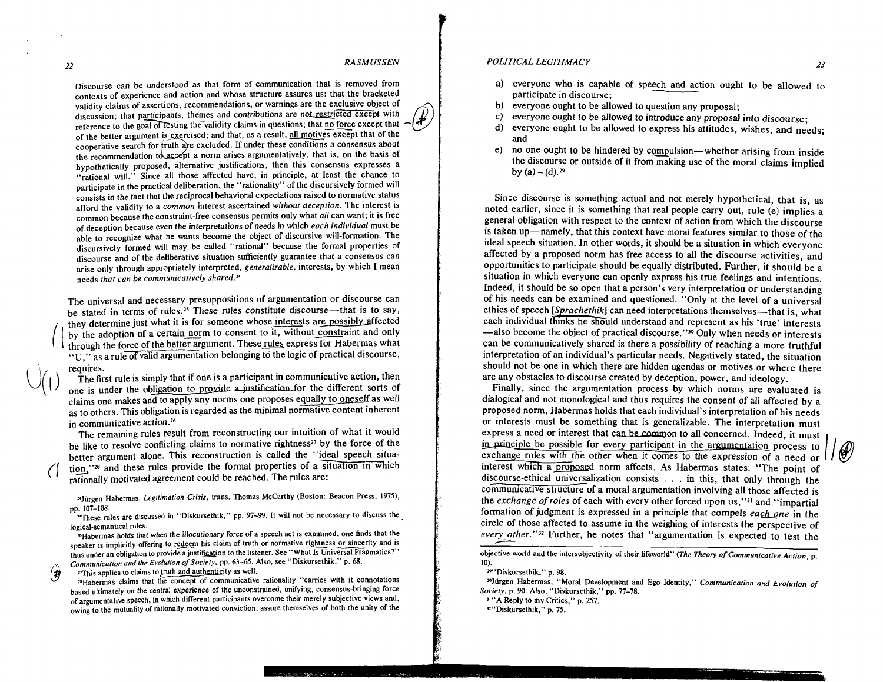Discourse can be understood as that form of communication that is removed from contexts of experience and action and whose structure assures us: that the bracketed validity claims of assertions, recommendations, or warnings are the exclusive object of discussion; that participants, themes and contributions are not restricted except with reference to the goal of testing the validity claims in questions; that no force except that of the better argument is exercised; and that, as a result, all motives except that of the cooperative search for truth are excluded. If under these conditions a consensus about the recommendation to accept a norm arises argumentatively, that is, on the basis of hypothetically proposed, alternative justifications, then this consensus expresses a "rational will." Since all those affected have, in principle, at least the chance to participate in the practical deliberation, the "rationality" of the discursively formed will consists in the fact that the reciprocal behavioral expectations raised to normative status afford the validity to a common interest ascertained without deception. The interest is common because the constraint-free consensus permits only what all can want; it is free of deception because even the interpretations of needs in which each individual must be able to recognize what he wants become the object of discursive will-formation. The discursively formed will may be called "rational" because the formal properties of discourse and of the deliberative situation sufficiently guarantee that a consensus can arise only through appropriately interpreted, generalizable, interests, by which I mean needs that can be communicatively shared."

The universal and necessary presuppositions of argumentation or discourse can be stated in terms of rules.<sup>25</sup> These rules constitute discourse-that is to say, they determine just what it is for someone whose interests are possibly affected<br>by the adoption of a certain norm to consent to it, without constraint and only I by the adoption of a certain norm to consent to it, without constraint and only through the force of the better argument. These rules express for Habermas what **"U,"** as a rule of valid argumentation belonging to the logic of practical discourse,

requires.<br>The first rule is simply that if one is a participant in communicative action, then one is under the obligation to provide a justification for the different sorts of claims one makes and to apply any norms one proposes equally to oneself as well as to others. This obligation is regarded as the minimal normative content inherent in communicative action.<sup>26</sup>

The remaining rules result from reconstructing our intuition of what it would be like to resolve conflicting claims to normative rightness<sup>27</sup> by the force of the better argument alone. This reconstruction is called the "ideal speech situation,"<sup>28</sup> and these rules provide the formal properties of a situation in which rationally motivated agreement could be reached. The rules are:

24Jürgen Habermas, Legitimation Crisis, trans. Thomas McCarthy (Boston: Beacon Press, 1975), pp. 107-108.

<sup>25</sup>These rules are discussed in "Diskursethik," pp. 97-99. It will not be necessary to discuss the logical-semantical rules.

'6Habermas holds that when the illocutionary force of a speech act is examined, one finds that the speaker is implicitly offering to redeem his claim of truth or normative rightness or sincerity and is thus under an obligation to provide a justification to the listener. See "What Is Universal Pragmatics?" Communication and the Evolution of Society, pp. 63–65. Also, see "Diskursethik," p. 68.<br><sup>*T*This applies to claims to truth and authenticity as well.</sup>

#### *POLITICAL LEGITIMACY 23*

- a) everyone who is capable of speech and action ought to be allowed to *CAL LEGITIMACY*<br>everyone who is capable of speech and a<br>participate in discourse;<br>everyone ought to be allowed to question an
- b) everyone ought to be allowed to question any proposal;
- c) everyone ought to be allowed to introduce any proposal into discourse;<br>d) everyone ought to be allowed to express his attitudes wishes and neg
- everyone ought to be allowed to express his attitudes, wishes, and needs: and
- e) no one ought to be hindered by compulsion-whether arising from inside the discourse or outside of it from making use of the moral claims implied by  $(a) - (d).^{29}$

Since discourse is something actual and not merely hypothetical, that is, as noted earlier, since it is something that real people carry out, rule (e) implies a general obligation with respect to the context of action from which the discourse is taken up-namely, that this context have moral features similar to those of the ideal speech situation. In other words, it should be a situation in which everyone affected by a proposed norm has free access to all the discourse activities, and opportunities to participate should be equally distributed. Further, it should be a situation in which everyone can openly express his true feelings and intentions. Indeed, it should be so open that a person's very interpretation or understanding of his needs can be examined and questioned. "Only at the level of a universal ethics of speech [Sprachethik] can need interpretations themselves-that is, what each individual thinks he should understand and represent as his 'true' interests -also become the object of practical discourse."<sup>30</sup> Only when needs or interests can be communicatively shared is there a possibility of reaching a more truthful interpretation of an individual's particular needs. Negatively stated, the situation should not be one in which there are hidden agendas or motives or where there are any obstacles to discourse created by deception, power, and ideology.

Finally, since the argumentation process by which norms are evaluated is dialogical and not monological and thus requires the consent of all affected by a proposed norm, Habermas holds that each individual's interpretation of his needs or interests must be something that is generalizable. The interpretation must express a need or interest that can be common to all concerned. Indeed, it must in principle be possible for every participant in the argumentation process to exchange roles with the other when it comes to the expression of a need or interest which a proposed norm affects. As Habermas states: "The poi exchange roles with the other when it comes to the expression of a need or can be communicatively shared is there a possibility of reaching a more truthful interpretation of an individual's particular needs. Negatively stated, the situation should not be one in which there are hidden agendas or discourse-ethical universalization consists . . . in this, that only through the communicative structure of a moral argumentation involving all those affected is the exchange of roles of each with every other forced upon us,"<sup>31</sup> and "impartial formation of judgment is expressed in a principle that compels each one in the circle of those affected to assume in the weighing of interests the perspective of every other."<sup>32</sup> Further, he notes that "argumentation is expected to test the communicative structure of a moral argumentation involving all those affected is<br>the *exchange of roles* of each with every other forced upon us,"<sup>31</sup> and "impartial<br>formation of judgment is expressed in a principle that

<sup>29</sup>"Diskursethik," p. 98.

31"A Reply to my Critics," p. 257.

<sup>32"</sup>Diskursethik." p. 75.

 $\bigoplus_{x}$  *This applies to claims to truth and authenticity as well.*  $\bigoplus_{x}$  "Carries with it connotations based ultimately on the central experience of the unconstrained, unifying, consensus-bringing force of argumentative speech, in which different participants overcome their merely subjective views and. owing to the mutuality of rationally motivated conviction, assure themselves of both the unity of the

objective world and the intersubjectivity of their lifeworld" (The Theory of Communicarive Acrion, p. 10).

<sup>&</sup>quot;Jiirgen Habermas. "Moral Development and Ego Identity." Communicarion and Evolution of Society, p. 90. Also, "Diskursethik," pp. 77-78.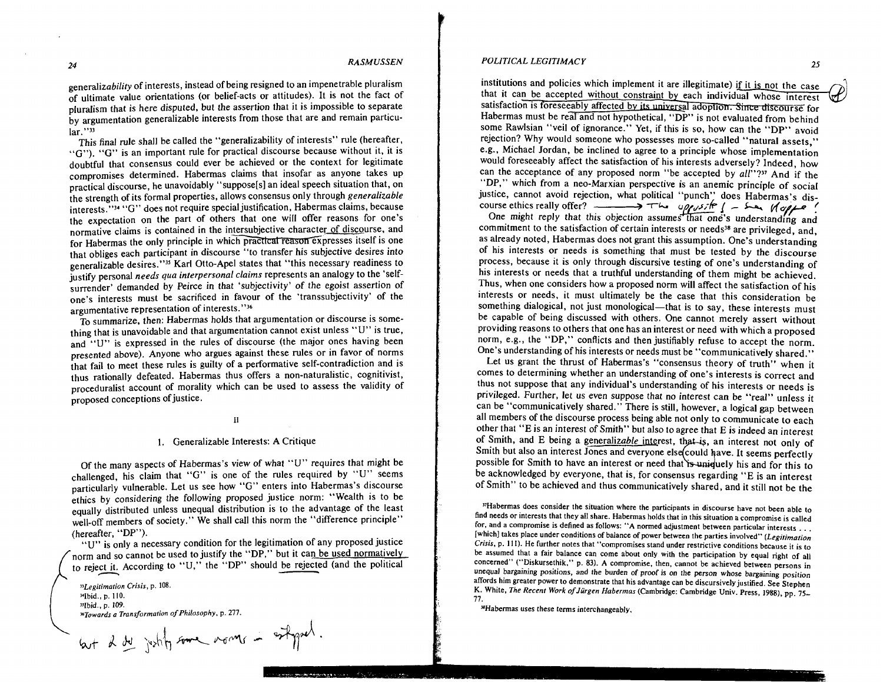generalizability of interests, instead of being resigned to an impenetrable pluralism of ultimate value orientations (or belief-acts or attitudes). It is not the fact of pluralism that is here disputed, but the assertion that it is impossible to separate by argumentation generalizable interests from those that are and remain particular."<sup>33</sup>

This final rule shall be called the "generalizability of interests" rule (hereafter, "G"). "G" is an important rule for practical discourse because without it, it is doubtful that consensus could ever be achieved or the context for legitimate compromises determined. Habermas claims that insofar as anyone takes up practical discourse, he unavoidably "suppose[s] an ideal speech situation that, on the strength of its formal properties, allows consensus only through generalizable interests, "<sup>34</sup> "G" does not require special justification, Habermas claims, because the expectation on the part of others that one will offer reasons for one's normative claims is contained in the intersubjective character of discourse, and for Habermas the only principle in which practical reason expresses itself is one that obliges each participant in discourse "to transfer his subjective desires into generalizable desires."<sup>35</sup> Karl Otto-Apel states that "this necessary readiness to justify personal needs qua interpersonal claims represents an analogy to the 'selfsurrender' demanded by Peirce in that 'subjectivity' of the egoist assertion of one's interests must be sacrificed in favour of the 'transsubjectivity' of the argumentative representation of interests."36

To summarize, then: Habermas holds that argumentation or discourse is something that is unavoidable and that argumentation cannot exist unless **"U"** is true, and "U" is expressed in the rules of discourse (the major ones having been presented above). Anyone who argues against these rules or in favor of norms that fail to meet these rules is guilty of a performative self-contradiction and is thus rationally defeated. Habermas thus offers a non-naturalistic, cognitivist, proceduralist account of morality which can be used to assess the validity of proposed conceptions of justice.

#### $\mathbf{H}$

#### 1. Generalizable Interests: A Critique

Of the many aspects of Habermas's view of what **"U"** requires that might be challenged, his claim that "G" is one of the rules required by **"U"** seems particularly vulnerable. Let us see how "G" enters into Habermas's discourse ethics by considering the following proposed justice norm: "Wealth is to be equally distributed unless unequal distribution is to the advantage of the least well-off members of society." We shall call this norm the "difference principle" (hereafter, "DP").

**"U"** is only a necessary condition for the legitimation of any proposed justice norm and so cannot be used to justify the "DP," but it can be used normatively to reject it. According to "U," the "DP" should be rejected (and the political

*IILegitimation Crisis,* **p. 108. ]4Ibid., p. I lo.** ( **"lbid.. p 109.**  *Vowards a Transformation of Philosophy,* **p.** *277.* 

but I de justify some morner in estimated.

institutions and policies which implement it are illegitimate) if it is not the case that it can be accepted without constraint by each individual whose interest satisfaction is foreseeably affected by its universal adoption. Since discourse for Habermas must be real and not hypothetical, "DP" is not evaluated from behind some Rawlsian "veil of ignorance." Yet, if this is so, how can the "DP" avoid rejection? Why would someone who possesses more so-called "natural assets." e.g., Michael Jordan, be inclined to agree to a principle whose implementation would foreseeably affect the satisfaction of his interests adversely? Indeed, how can the acceptance of any proposed norm "be accepted by  $all''$ ?" And if the "DP," which from a neo-Marxian perspective is an anemic principle of social justice, cannot avoid rejection, what political "punch" does Habermas's discourse ethics really offer?<br>
course ethics really offer?

One might reply that this objection commitment to the satisfaction of certain interests or needs<sup>38</sup> are privileged, and, as already noted, Habermas does not grant this assumption. One's understanding of his interests or needs is something that must be tested by the discourse process, because it is only through discursive testing of one's understanding of his interests or needs that a truthful understanding of them might be achieved. Thus, when one considers how a proposed norm will affect the satisfaction of his interests or needs, it must ultimately be the case that this consideration be something dialogical, not just monological—that is to say, these interests must be capable of being discussed with others. One cannot merely assert without providing reasons to others that one has an interest or need with which a proposed norm, e.g., the "DP," conflicts and then justifiably refuse to accept the norm. One's understanding of his interests or needs must be "communicatively shared."

Let us grant the thrust of Habermas's "consensus theory of truth" when it comes to determining whether an understanding of one's interests is correct and thus not suppose that any individual's understanding of his interests or needs is privileged. Further, let us even suppose that no interest can be "real" unless it can be "communicatively shared." There is still, however, a logical gap between all members of the discourse process being able not only to communicate to each other that **"E** is an interest of Smith" but also to agree that E is indeed an interest of Smith, and E being a generalizable interest, that is, an interest not only of Smith but also an interest Jones and everyone else could have. It seems perfectly possible for Smith to have an interest or need that is uniquely his and for this to be acknowledged by everyone, that is, for consensus regarding **"E** is an interest of Smith" to be achieved and thus communicatively shared, and it still not be the

**"Habermas does consider the situation where the participants in discourse have not been able to find needs or interests that they all share. Habermas holds that in this situation a compromise is called for, and a compromise is defined as follows: "A normed adjustment between particular interests** . . . **[which] takes place under conditions of balance of power between the parties involved"** *(Legirimation Crisis,* **p. 111). He further notes that "compromises stand under restrictive conditions because it is to**  be assumed that a fair balance can come about only with the participation by equal right of all **concerned" ("Diskursethik," p. 83). A compromise. then, cannot be achieved between persons in unequal bargaining positions, and the burden of proof is on the person whose bargaining position affords him greater power to demonstrate that his advantage can be discursively justified. See Stephen K. White,** *The Recent Work ofJurgen Habermas* **(Cambridge: Cambridge Univ. Press, 1988). pp. 75- 77.** 

**"Habermas uses these terms interchangeably.**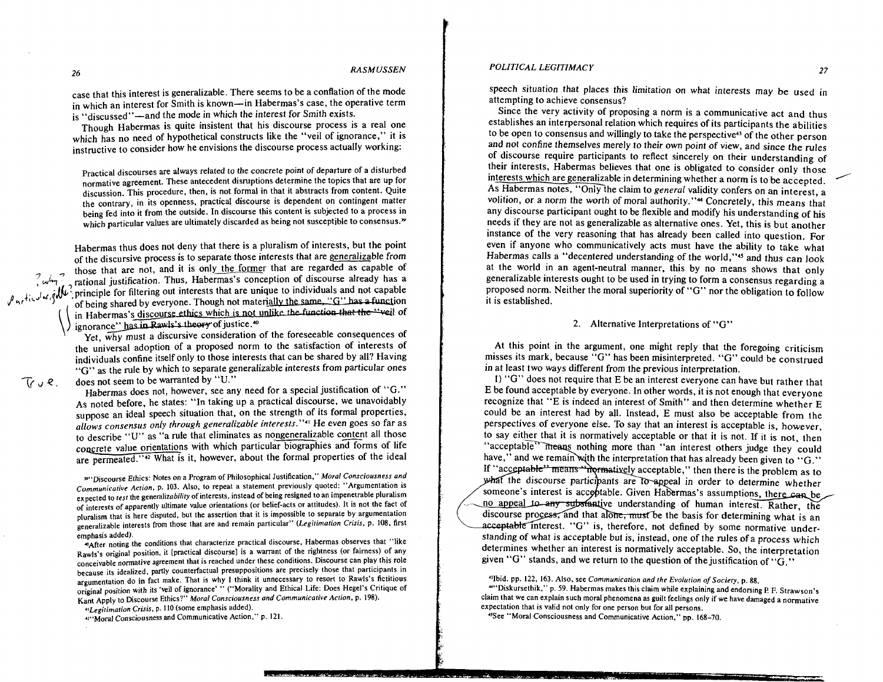*POLITICAL LEGITIMACY* **<sup>27</sup>**

*<sup>26</sup>RASMUSSEN* 

case that this interest is generalizable. There seems to be a conflation of the mode in which an interest for Smith is known-in Habermas's case, the operative term is "discussed"-and the mode in which the interest for Smith exists.

Though Habermas is quite insistent that his discourse process is a real one which has no need of hypothetical constructs like the "veil of ignorance," it is instructive to consider how he envisions the discourse process actually working:

practical discourses are always related to the concrete point of departure of a disturbed normative agreement. These antecedent disruptions determine the topics that are up for discussion. This procedure, then, is not formal in that it abstracts from content. Quite the contrary, in its openness, practical discourse is dependent on contingent matter being fed into it from the outside. In discourse this content is subjected to a process in which particular values are ultimately discarded as being not susceptible to consensus."

Habermas thus does not deny that there is a pluralism of interests, but the point of the discursive process is to separate those interests that are generalizable from those that are not, and it is only the former that are regarded as capable of rational justification. Thus, Habermas's conception of discourse already has a  $7 \omega \hbar \gamma^2$  rational justification. Thus, Habermas's conception of discourse already has a for fixthatic interests that are unique to individuals and not capable  $\ell$ , fixthatic increase,  $\ell$  of being shared by everyone. Though not materially the same,  $\ell$  . So thas a function in Habermas's discourse ethics which is not unlike the function that the "veil of ignorance" has in Rawls's theory of justice.<sup>40</sup>

Yet,  $\overline{why}$  must a discursive consideration of the foreseeable consequences of the universal adoption of a proposed norm to the satisfaction of interests of individuals confine itself only to those interests that can be shared by all? Having "G" as the rule by which to separate generalizable interests from particular ones  $\int_{\Gamma} \psi \mathcal{R}$ , does not seem to be warranted by "U."

Habermas does not, however, see any need for a special justification of "G." As noted before, he states: "In taking up a practical discourse, we unavoidably suppose an ideal speech situation that, on the strength of its formal properties, allows consensus only through generalizable interests."<sup>41</sup> He even goes so far as to describe "U" as "a rule that eliminates as nongeneralizable content all those concrete value orientations with which particular biographies and forms of life are permeated."<sup>42</sup> What is it, however, about the formal properties of the ideal

39" Discourse Ethics: Notes on a Program of Philosophical Justification," Moral Consciousness and Communicative Action, p. 103. Also, to repeat a statement previously quoted: "Argumentation is expected to test the generalizability of interests, instead of being resigned to an impenetrable pluralism of interests of apparently ultimate value orientations (or belief-acts or attitudes). It is not the fact of pluralism that is here disputed, but the assertion that it is impossible to separate by argumentation generalizable interests from those that are and remain particular" (Legitimation Crisis, p. 108, first emphasis added).

\*After noting the conditions that characterize practical discourse. Habermas observes that "like Rawls's original position, it [practical discourse] is a warrant of the rightness (or fairness) of any conceivable agreement that is reached under these conditions. Discourse can play this role because its idealized, parIly counterfactual presuppositions are precisely those that participants in argumentation do in fact make. That is why I think it unnecessary to resort to Rawls's fictitious original position with its 'veil of ignorance' " ("Morality and Ethical Life: Does Hegel's Critique of Kant Apply to Discourse Ethics?" Moral Consciousness and Communicative Action, p. 198).

rlLegitimarion Crisis, p. I10 (some emphasis added).

4~"Moral Consciousness and Communicative Action," p. 121.

speech situation that places this limitation on what interests may be used in attempting to achieve consensus?

Since the very activity of proposing a norm is a communicative act and thus establishes an interpersonal relation which requires of its participants the abilities to be open to consensus and willingly to take the perspective4' of the other person and not confine themselves merely to their own point of view, and since the rules of discourse require participants to reflect sincerely on their understanding of their interests, Habermas believes that one is obligated to consider only those interests which are generalizable in determining whether a norm is to be accepted. speech situation that places this limitation on what interests may be used in<br>attempting to achieve consensus?<br>Since the very activity of proposing a norm is a communicative act and thus<br>establishes an interpersonal relati As Habermas notes, "Only the claim to general validity confers on an interest, a volition, or a norm the worth of moral authority."<sup>44</sup> Concretely, this means that any discourse participant ought to be flexible and modify his understanding of his needs if they are not as generalizable as alternative ones. Yet, this is but another instance of the very reasoning that has already been called into question. For even if anyone who communicatively acts must have the ability to take what Habermas calls a "decentered understanding of the world,"<sup>45</sup> and thus can look at the world in an agent-neutral manner, this by no means shows that only generalizable interests ought to be used in trying to form a consensus regarding a proposed norm. Neither the moral superiority of "G" nor the obligation to follow it is established.

#### 2. Alternative Interpretations of "G"

At this point in the argument, one might reply that the foregoing criticism misses its mark, because "G" has been misinterpreted. *"G"* could be construed in at least two ways different from the previous interpretation.

I) *"G"* does not require that E be an interest everyone can have but rather that E be found acceptable by everyone. In other words, it is not enough that everyone recognize that "E is indeed an interest of Smith" and then determine whether **E**  could be an interest had by all. Instead, E must also be acceptable from the perspectives of everyone else. To say that an interest is acceptable is, however, to say either that it is normatively acceptable or that it is not. If it is not, then "acceptable" means nothing more than "an interest others judge they could have," and we remain with the interpretation that has already been given to "G." If "acceptable" means "normatively acceptable," then there is the problem as to what the discourse participants are to appeal in order to determine whether someone's interest is acceptable. Given Habermas's assumptions, there can be no appeal to any substantive understanding of human interest. Rather, the discourse process, and that alone, must be the basis for determining what is an acceptable interest. "G" is, therefore, not defined by some normative understanding of what is acceptable but is, instead, one of the rules of a process which determines whether an interest is normatively acceptable. So, the interpretation given *"G"* stands, and we return to the question of thejustification of *"G."* 

"Ibid. pp. 122, 163. Also, see Communicarion and the Evolution of Sociefy, p. 88.

\*"Diskursethik," p. 59. Habermas makes this claim while explaining and endorsing **P. F.** Strawson's claim that we can explain such moral phenomena as guilt feelings only if we have damaged a normative expectation that is valid not only for one person but for all persons.

"See "Moral Consciousness and Communicative Action." pp. 168-70.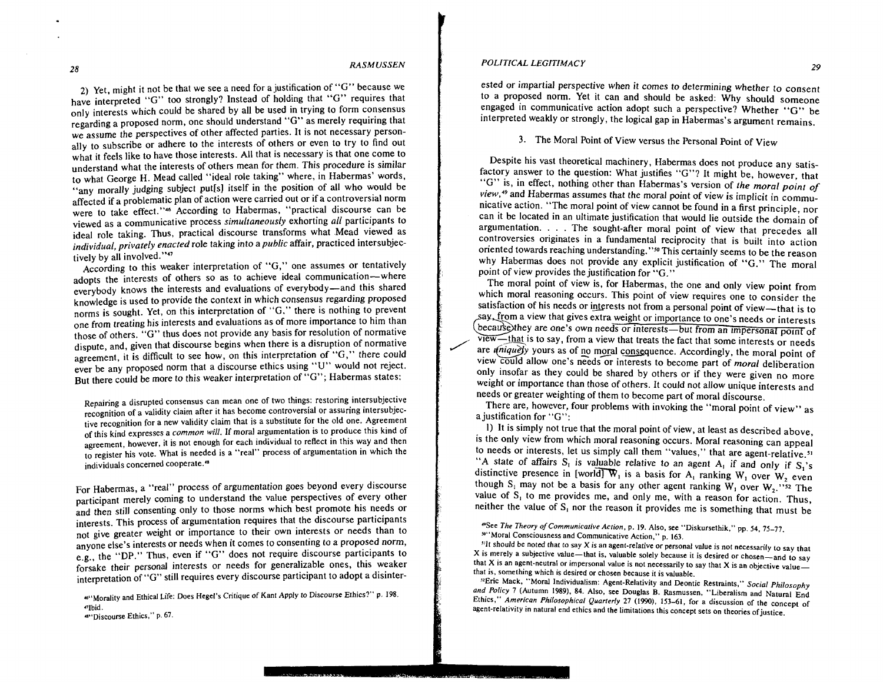28

*RASM USSEN* 

**2)** Yet, might it not be that we see a need for a justification of "G" because we have interpreted "G" too strongly? Instead of holding that "G" requires that only interests which could be shared by all be used in trying to form consensus regarding a proposed norm, one should understand *"G"* as merely requiring that we assume the perspectives of other affected parties. It is not necessary personally to subscribe or adhere to the interests of others or even to try to find out what it feels like to have those interests. All that is necessary is that one come to understand what the interests of others mean for them. This procedure is similar to what George H. Mead called "ideal role taking" where, in Habermas' words, "any morally judging subject put[s] itself in the position of all who would be affected if a problematic plan of action were carried out or if a controversial norm were to take effect."<sup>46</sup> According to Habermas, "practical discourse can be viewed as a communicative process *simulraneousiy* exhorting *all* participants to ideal role taking. Thus, practical discourse transforms what Mead viewed as *individual, privately enacted* role taking into a *public* affair, practiced intersubjectively by all involved." $47$ 

According to this weaker interpretation of "G," one assumes or tentatively adopts the interests of others so as to achieve ideal communication-where everybody knows the interests and evaluations of everybody-and this shared knowledge is used to provide the context in which consensus regarding proposed norms is sought. Yet, on this interpretation of "G," there is nothing to prevent one from treating his interests and evaluations as of more importance to him than those of others. "G" thus does not provide any basis for resolution of normative dispute, and, given that discourse begins when there is a disruption of normative agreement, it is difficult to see how, on this interpretation of "G," there could ever be any proposed norm that a discourse ethics using **"U"** would not reject. But there could be more to this weaker interpretation of "G"; Habermas states:

Repairing a disrupted consensus can mean one of two things: restoring intersubjective recognition of a validity claim after it has become controversial or assuring intersubjective recognition for a new validity claim that is a substitute for the old one. Agreement of this kind expresses a *common* will. If moral argumentation is to produce this kind of agreement, however, it is not enough for each individual to reflect in this way and then to register his vote. What is needed is a "real" process of argumentation in which the individuals concerned cooperate.<sup>48</sup>

For Habermas, a "real" process of argumentation goes beyond every discourse participant merely coming to understand the value perspectives of every other and then still consenting only to those norms which best promote his needs or interests. This process of argumentation requires that the discourse participants not give greater weight or importance to their own interests or needs than to anyone else's interests or needs when it comes to consenting to a proposed norm, e.g., the "DP." Thus, even if "G" does not require discourse participants to forsake their personal interests or needs for generalizable ones, this weaker interpretation of "G" still requires every discourse participant to adopt a disinter-

**W'Morality and Ethical Life: Does Hegel's Critique of Kant Apply to Discourse Ethics?" p. 198. nlbid. a'6Discourse Ethics." p. 67.** 

## *POLITICAL LEGITIMACY 29*

ested or impartial perspective when it comes to determining whether to consent to a proposed norm. Yet it can and should be asked: Why should someone engaged in communicative action adopt such a perspective? Whether *"G"* be interpreted weakly or strongly, the logical gap in Habermas's argument remains.

3. The Moral Point of View versus the Personal Point of View

Despite his vast theoretical machinery, Habermas does not produce any satisfactory answer to the question: What justifies "G"? It might be, however, that "G" is, in effect, nothing other than Habermas's version of *!he moral poinr* of *view,49* and Habermas assumes that the moral point of view is implicit in communicative action. "The moral point of view cannot be found in a first principle, nor can it be located in an ultimate justification that would lie outside the domain of argumentation. . . . The sought-after moral point of view that precedes all controversies originates in a fundamental reciprocity that is built into action oriented towards reaching understanding."<sup>50</sup> This certainly seems to be the reason why Habermas does not provide any explicit justification of "G." The moral point of view provides the justification for "G."

The moral point of view is, for Habermas, the one and only view point from which moral reasoning occurs. This point of view requires one to consider the satisfaction of his needs or interests not from a personal point of view-that is to sav, from a view that gives extra weight or importance to one's needs or interests are one's own needs or interests—but from an impersonal point of view-that is to say, from a view that treats the fact that some interests or needs are *uniquely* yours as of no moral consequence. Accordingly, the moral point of satisfaction of his needs or interests not from a personal point of view—that is to say, from a view that gives extra weight or importance to one's needs or interests because they are one's own needs or interests—but from view could allow one's needs or interests to become part of *moral* deliberation only insofar as they could be shared by others or if they were given no more weight or importance than those of others. It could not allow unique interests and needs or greater weighting of them to become part of moral discourse.

There are, however, four problems with invoking the "moral point of view" as a justification for "G":

1) It is simply not true that the moral point of view, at least as described above, is the only view from which moral reasoning occurs. Moral reasoning can appeal to needs or interests, let us simply call them "values," that are agent-relative.<sup>51</sup> "A state of affairs S, is valuable relative to an agent  $A_1$  if and only if S,'s distinctive presence in [world]  $\mathbf{W}_1$  is a basis for  $\mathbf{A}_1$  ranking W<sub>1</sub> over W, even though S, may not be a basis for any other agent ranking  $W_1$  over  $W_2$ ." $\overline{\phantom{a}}$  The value of  $S<sub>1</sub>$  to me provides me, and only me, with a reason for action. Thus, neither the value of  $S<sub>1</sub>$  nor the reason it provides me is something that must be

**'?See** *The Theory of Communicative Action,* **p. 19. Also, see "Diskursethik," pp. 54. 75-77.**  <sup>80</sup>"Moral Consciousness and Communicative Action," p. 163.

**"It should be noted that to say X is an agent-relative** or **personal value is not necessarily to say that X** is merely a subjective value—that is, valuable solely because it is desired or chosen—and to say **that X is an agent-neutral or impersonal value is not necessarily to say that X is an objective valuethat is, something which is desired or chosen because it is valuable.** 

**"Eric Mack, "Moral Individualism: Agent-Relativity and Deontic Restraints,"** *Social Philosophy*  and Policy 7 (Autumn 1989), 84. Also, see Douglas B. Rasmussen, "Liberalism and Natural End Ethics," American Philosophical Quarterly 27 (1990), 153-61, for a discussion of the concept of agent-relativity in natural end ethics and the limitations this concept sets on theories of justice.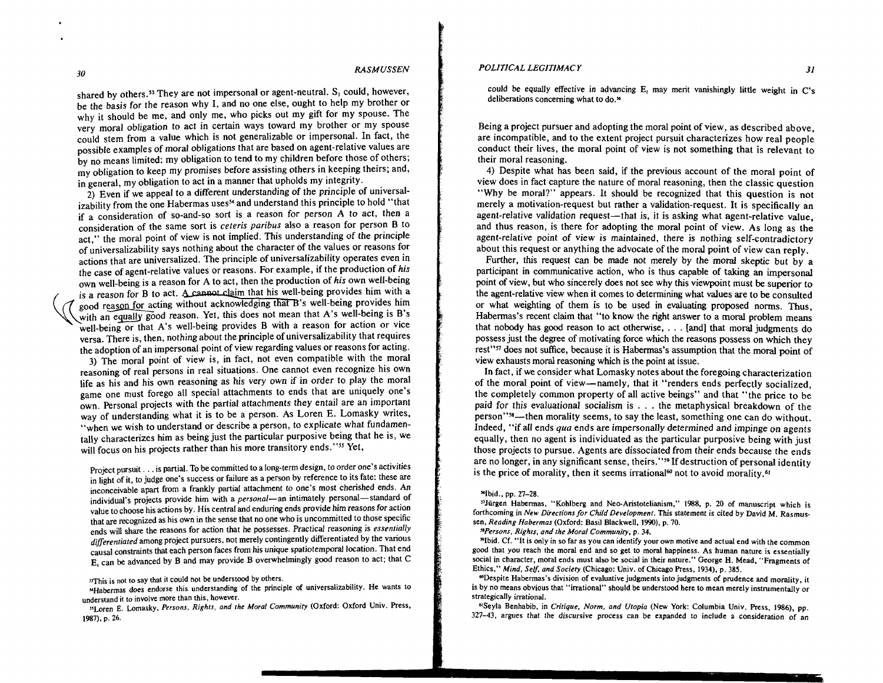shared by others.<sup>53</sup> They are not impersonal or agent-neutral. S, could, however, be the basis for the reason why I, and no one else, ought to help my brother or why it should be me, and only me, who picks out my gift for my spouse. The very moral obligation to act in certain ways toward my brother or my spouse could stem from a value which is not generalizable or impersonal. In fact, the possible examples of moral obligations that are based on agent-relative values are by no means limited: my obligation to tend to my children before those of others; my obligation to keep my promises before assisting others in keeping theirs; and, in general, my obligation to act in a manner that upholds my integrity.

**2)** Even if we appeal to a different understanding of the principle of universalizability from the one Habermas uses<sup>54</sup> and understand this principle to hold "that if a consideration of so-and-so sort is a reason for person A to act, then a consideration of the same sort is ceteris paribus also a reason for person B to act," the moral point of view is not implied. This understanding of the principle of universalizability says nothing about the character of the values or reasons for actions that are universalized. The principle of universalizability operates even in the case of agent-relative values or reasons. For example, if the production of *his*  own well-being is a reason for A to act, then the production of *his* own well-being is a reason for B to act. A cannot claim that his well-being provides him with a good reason for acting without acknowledging that B's well-being provides him with an equally good reason. Yet, this does not mean that A's well-being is B's well-being or that A's well-being provides B with a reason for action or vice versa. There is, then, nothing about the principle of universalizability that requires the adoption of an impersonal point of view regarding values or reasons for acting.

3) The moral point of view is, in fact, not even compatible with the moral reasoning of real persons in real situations. One cannot even recognize his own life as his and his own reasoning as his very own if in order to play the moral game one must forego all special attachments to ends that are uniquely one's own. Personal projects with the partial attachments they entail are an important way of understanding what it is to be a person. As Loren E. Lomasky writes, "when we wish to understand or describe a person, to explicate what fundamentally characterizes him as being just the particular purposive being that he is, we will focus on his projects rather than his more transitory ends."<sup>35</sup> Yet,

Project pursuit . . . is partial. To **be** committed to a long-term design, to order one's activities in light of it, to judge one's success or failure as a person by reference to its fate: these are inconceivable apart from a frankly partial attachment to one's most cherished ends. An individual's projects provide him with a *personal*—an intimately personal—standard of value to choose his actions by. His central and enduring ends provide him reasons for action that are recognized as his own in the sense that no one who is uncommitted to those specific ends will share the reasons for action that he possesses. Practical reasoning is *essentially*  differentiated among project pursuers, not merely contingently differentiated by the various causal constraints that each person faces from his unique spatiotemporal location. That end El can be advanced by B and may provide B overwhelmingly good reason to act; that C

<sup>33</sup>This is not to say that it could not be understood by others.

HHabermas does endorse this understanding of the principle of universalizability. He wants to understand it to involve more than this, however.

<sup>35</sup>Loren E. Lomasky, Persons, Rights, and the Moral Community (Oxford: Oxford Univ. Press, **1987),** p. **26.** 

#### *POLITICAL LEGITIMACY 31*

could be equally effective in advancing E, may merit vanishingly little weight in C's deliberations concerning what to do.<sup>56</sup>

Being a project pursuer and adopting the moral point of view, as described above, are incompatible, and to the extent project pursuit characterizes how real people conduct their lives, the moral point of view is not something that is relevant to their moral reasoning.

4) Despite what has been said, if the previous account of the moral point of view does in fact capture the nature of moral reasoning, then the classic question "Why be moral?" appears. It should be recognized that this question is not merely a motivation-request but rather a validation-request. It is specifically an agent-relative validation request-that is, it is asking what agent-relative value, and thus reason, is there for adopting the moral point of view. As long as the agent-relative point of view is maintained, there is nothing self-contradictory about this request or anything the advocate of the moral point of view can reply.

Further, this request can be made not merely by the moral skeptic but by a participant in communicative action, who is thus capable of taking an impersonal point of view, but who sincerely does not see why this viewpoint must be superior to the agent-relative view when it comes to determining what values are to be consulted or what weighting of them is to be used in evaluating proposed norms. Thus, Habermas's recent claim that "to know the right answer to a moral problem means that nobody has good reason to act otherwise, . . . [and] that moral judgments do possess just the degree of motivating force which the reasons possess on which they rest"<sup>37</sup> does not suffice, because it is Habermas's assumption that the moral point of view exhausts moral reasoning which is the point at issue.

In fact, if we consider what Lomasky notes about the foregoing characterization of the moral point of view-namely, that it "renders ends perfectly socialized, the completely common property of all active beings" and that "the price to be paid for this evaluational socialism is . . . the metaphysical breakdown of the person"<sup>58</sup>—then morality seems, to say the least, something one can do without. Indeed, "if all ends qua ends are impersonally determined and impinge on agents equally, then no agent is individuated as the particular purposive being with just those projects to pursue. Agents are dissociated from their ends because the ends are no longer, in any significant sense, theirs."<sup>59</sup> If destruction of personal identity is the price of morality, then it seems irrational<sup>60</sup> not to avoid morality.<sup>61</sup>

#### "Ibid., pp. **27-28.**

"Jiirgen Habermas, "Kohlberg and Neo-Aristotelianism," 1988, p. **20** of manuscript which is forthcoming in New Directions for Child Development. This statement is cited by David M. Rasmussen, Reading Habermas (Oxford: Basil Blackwell. **1990),** p. **70.** 

Versons, Righrs. and the Moral Community. p. **34.** 

"Ibid. Cf. "It is only in so far as you can identify your own motive and actual end with the common good that you reach the moral end and so get to moral happiness. As human nature is essentially social in character, moral ends must also be social in their nature." George H. Mead. "Fragments of Ethics," Mind, Self. and Society (Chicago: Univ. of Chicago Press, **1934).** p. **385.** 

"Despite Habermas's division of evaluative judgments into judgments of prudence and morality, it is by no means obvious that "irrational" should be understood here to mean merely instrumentally or strategically irrational.

61Seyla Benhabib, in Critique, Norm, and Utopia (New York: Columbia Univ. Press. **1986).** pp. **327-43,** argues that the discursive process can be expanded to include a consideration of an

30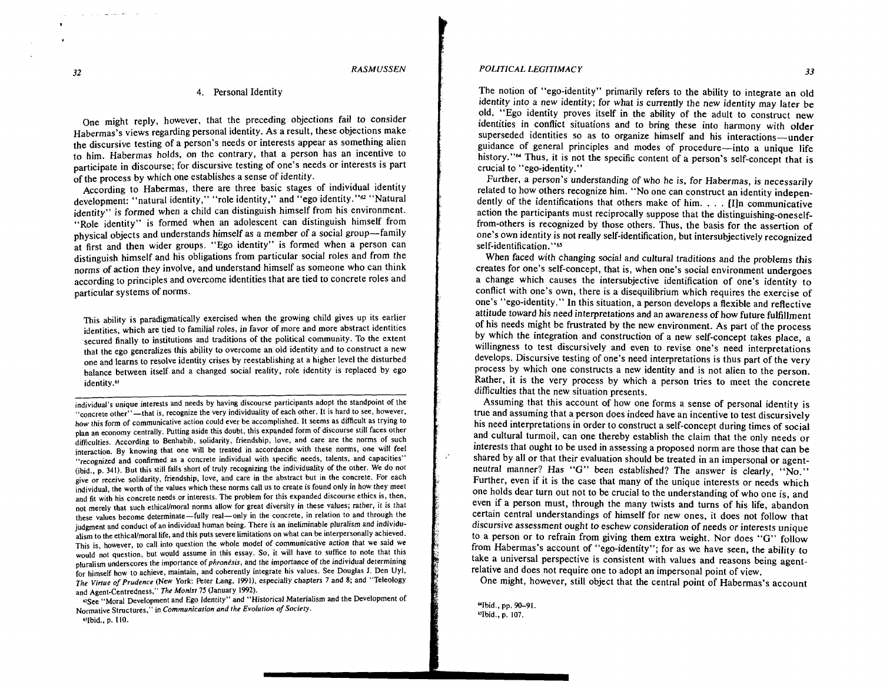#### 4. Personal Identity

One might reply, however, that the preceding objections fail to consider Habermas's views regarding personal identity. As a result, these objections make the discursive testing of a person's needs or interests appear as something alien to him. Habermas holds, on the contrary, that a person has an incentive to participate in discourse; for discursive testing of one's needs or interests is part of the process by which one establishes a sense of identity.

According to Habermas, there are three basic stages of individual identity development: "natural identity," "role identity," and "ego identity."<sup>62</sup> "Natural identity" is formed when a child can distinguish himself from his environment. "Role identity" is formed when an adolescent can distinguish himself from physical objects and understands himself as a member of a social group-family at first and then wider groups. "Ego identity" is formed when a person can distinguish himself and his obligations from particular social roles and from the norms of action they involve, and understand himself as someone who can think according to principles and overcome identities that are tied to concrete roles and particular systems of norms.

This ability is paradigmatically exercised when the growing child gives up its earlier identities, which are tied to familial roles, in favor of more and more abstract identities secured finally to institutions and traditions of the political community. To the extent that the ego generalizes this ability to overcome an old identity and to construct a new one and learns to resolve identity crises by reestablishing at a higher level the disturbed balance between itself and a changed social reality, role identity is replaced by ego identity.<sup>63</sup>

individual's unique interests and needs by having discourse participants adopt the standpoint of the "concrete other"-that is, recognize the very individuality of each other. It is hard to see, however, how this form of communicative action could ever be accomplished. It seems as difficult as trying to plan an economy centrally. Putting aside this doubt, this expanded form of discourse still faces other difficulties. According to Benhabib, solidarity, friendship, love, and care are the norms of such interaction. By knowing that one will be treated in accordance with these norms, one will feel "recognized and confirmed as a concrete individual with specific needs, talents, and capacities" (ibid., p. 341). But this still falls short of truly recognizing the individuality of the other. We do not give or receive solidarity, friendship, love, and care in the abstract but in the concrete. For each individual, the worth of the values which these norms call us to create is found only in how they meet and fit with his concrete needs or interests. The problem for this expanded discourse ethics is, then, not merely that such ethical/moral norms allow for great diversity in these values; rather, it is that these values become determinate-fully real-only in the concrete, in relation to and through the judgment and conduct of an individual human being. There is an ineliminable pluralism and individualism to the ethical/moral life, and this puts severe limitations on what can be interpersonally achieved. This is, however, to call into question the whole model of communicative action that we said we would not question, but would assume in this essay. So, it will have to suffice to note that this pluralism underscores the importance of *phronisis,* and the importance of the individual determining for himself how to achieve, maintain, and coherently integrate his values. See Douglas J. Den Uyl. *The Virfue of Prudence* (New York: Peter Lang, 1991), especially chapters 7 and 8; and "Teleology and Agent-Centredness," *The Monist* 75 (January 1992).

62See "Moral Development and Ego Identity" and "Historical Materialism and the Development of Normative Structures," in *Communicafion and fhe Evolufion of Sociely.* 

b'Ibid., p. 110.

#### *POLITICAL LEGITIMACY* **33**

The notion of "ego-identity" primarily refers to the ability to integrate an old identity into a new identity; for what is currently the new identity may later be old. "Ego identity proves itself in the ability of the adult to construct new identities in conflict situations and to bring these into harmony with older superseded identities so as to organize himself and his interactions-under guidance of general principles and modes of procedure-into a unique life history."<sup>"</sup> Thus, it is not the specific content of a person's self-concept that is crucial to "ego-identity."

Further, a person's understanding of who he is, for Habermas, is necessarily related to how others recognize him. "No one can construct an identity independently of the identifications that others make of him. . . . [IJn communicative action the participants must reciprocally suppose that the distinguishing-oneselffrom-others is recognized by those others. Thus, the basis for the assertion of one's own identity is not really self-identification, but intersubjectively recognized self-identification."65

When faced with changing social and cultural traditions and the problems this creates for one's self-concept, that is, when one's social environment undergoes a change which causes the intersubjective identification of one's identity to conflict with one's own, there is a disequilibrium which requires the exercise of one's "ego-identity." In this situation, a person develops a flexible and reflective attitude toward his need interpretations and an awareness of how future fulfillment of his needs might be frustrated by the new environment. As part of the process by which the integration and construction of a new self-concept takes place, a willingness to test discursively and even to revise one's need interpretations develops. Discursive testing of one's need interpretations is thus part of the very process by which one constructs a new identity and is not alien to the person. Rather, it is the very process by which a person tries to meet the concrete difficulties that the new situation presents.

Assuming that this account of how one forms a sense of personal identity is true and assuming that a person does indeed have an incentive to test discursively his need interpretations in order to construct a self-concept during times of social and cultural turmoil, can one thereby establish the claim that the only needs or interests that ought to be used in assessing aproposed norm are those that can be shared by all or that their evaluation should be treated in an impersonal or agentneutral manner? Has "G" been established? The answer is clearly, "No." Further, even if it is the case that many of the unique interests or needs which one holds dear turn out not to be crucial to the understanding of who one is, and even if a person must, through the many twists and turns of his life, abandon certain central understandings of himself for new ones, it does not follow that discursive assessment ought to eschew consideration of needs or interests unique to a person or to refrain from giving them extra weight. Nor does *"G"* follow from Habermas's account of "ego-identity"; for as we have seen, the ability to take a universal perspective is consistent with values and reasons being agentrelative and does not require one to adopt an impersonal point of view.

One might, however, still object that the central point of Habermas's account

'Ibid.. pp. 90-91. "Ibid., p. 107.

المعادات فعاملتهم ويقول والرابين المرابي